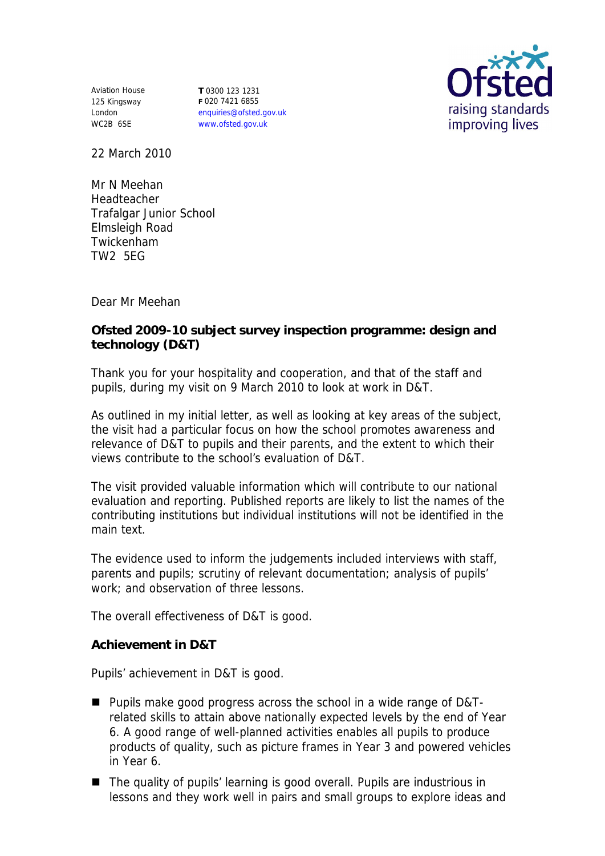Aviation House 125 Kingsway London WC2B 6SE

**T** 0300 123 1231 **F** 020 7421 6855 enquiries@ofsted.gov.uk www.ofsted.gov.uk



22 March 2010

Mr N Meehan Headteacher Trafalgar Junior School Elmsleigh Road Twickenham TW2 5EG

Dear Mr Meehan

**Ofsted 2009-10 subject survey inspection programme: design and technology (D&T)**

Thank you for your hospitality and cooperation, and that of the staff and pupils, during my visit on 9 March 2010 to look at work in D&T.

As outlined in my initial letter, as well as looking at key areas of the subject, the visit had a particular focus on how the school promotes awareness and relevance of D&T to pupils and their parents, and the extent to which their views contribute to the school's evaluation of D&T.

The visit provided valuable information which will contribute to our national evaluation and reporting. Published reports are likely to list the names of the contributing institutions but individual institutions will not be identified in the main text.

The evidence used to inform the judgements included interviews with staff, parents and pupils; scrutiny of relevant documentation; analysis of pupils' work; and observation of three lessons.

The overall effectiveness of D&T is good.

**Achievement in D&T**

Pupils' achievement in D&T is good.

- Pupils make good progress across the school in a wide range of D&Trelated skills to attain above nationally expected levels by the end of Year 6. A good range of well-planned activities enables all pupils to produce products of quality, such as picture frames in Year 3 and powered vehicles in Year 6.
- The quality of pupils' learning is good overall. Pupils are industrious in lessons and they work well in pairs and small groups to explore ideas and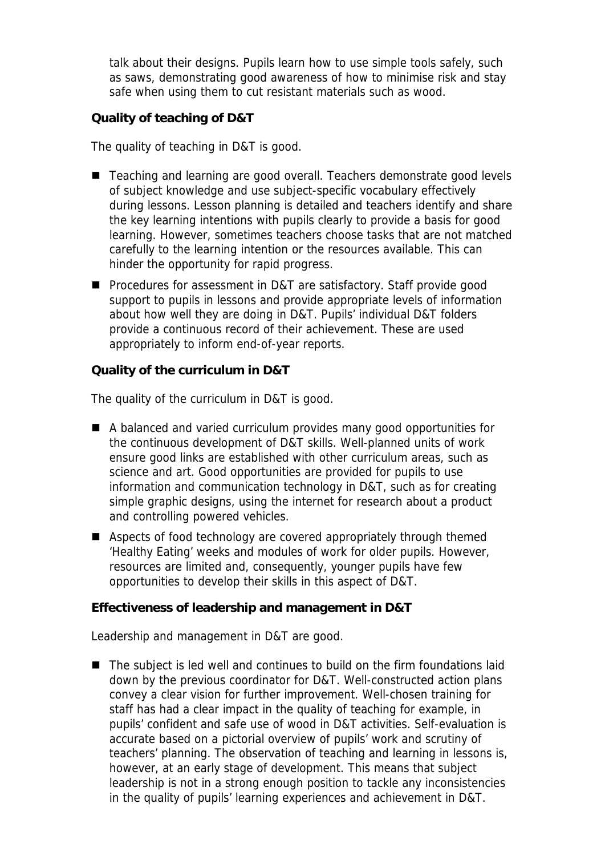talk about their designs. Pupils learn how to use simple tools safely, such as saws, demonstrating good awareness of how to minimise risk and stay safe when using them to cut resistant materials such as wood.

**Quality of teaching of D&T**

The quality of teaching in D&T is good.

- Teaching and learning are good overall. Teachers demonstrate good levels of subject knowledge and use subject-specific vocabulary effectively during lessons. Lesson planning is detailed and teachers identify and share the key learning intentions with pupils clearly to provide a basis for good learning. However, sometimes teachers choose tasks that are not matched carefully to the learning intention or the resources available. This can hinder the opportunity for rapid progress.
- Procedures for assessment in D&T are satisfactory. Staff provide good support to pupils in lessons and provide appropriate levels of information about how well they are doing in D&T. Pupils' individual D&T folders provide a continuous record of their achievement. These are used appropriately to inform end-of-year reports.

**Quality of the curriculum in D&T**

The quality of the curriculum in D&T is good.

- A balanced and varied curriculum provides many good opportunities for the continuous development of D&T skills. Well-planned units of work ensure good links are established with other curriculum areas, such as science and art. Good opportunities are provided for pupils to use information and communication technology in D&T, such as for creating simple graphic designs, using the internet for research about a product and controlling powered vehicles.
- Aspects of food technology are covered appropriately through themed 'Healthy Eating' weeks and modules of work for older pupils. However, resources are limited and, consequently, younger pupils have few opportunities to develop their skills in this aspect of D&T.

**Effectiveness of leadership and management in D&T**

Leadership and management in D&T are good.

■ The subject is led well and continues to build on the firm foundations laid down by the previous coordinator for D&T. Well-constructed action plans convey a clear vision for further improvement. Well-chosen training for staff has had a clear impact in the quality of teaching for example, in pupils' confident and safe use of wood in D&T activities. Self-evaluation is accurate based on a pictorial overview of pupils' work and scrutiny of teachers' planning. The observation of teaching and learning in lessons is, however, at an early stage of development. This means that subject leadership is not in a strong enough position to tackle any inconsistencies in the quality of pupils' learning experiences and achievement in D&T.